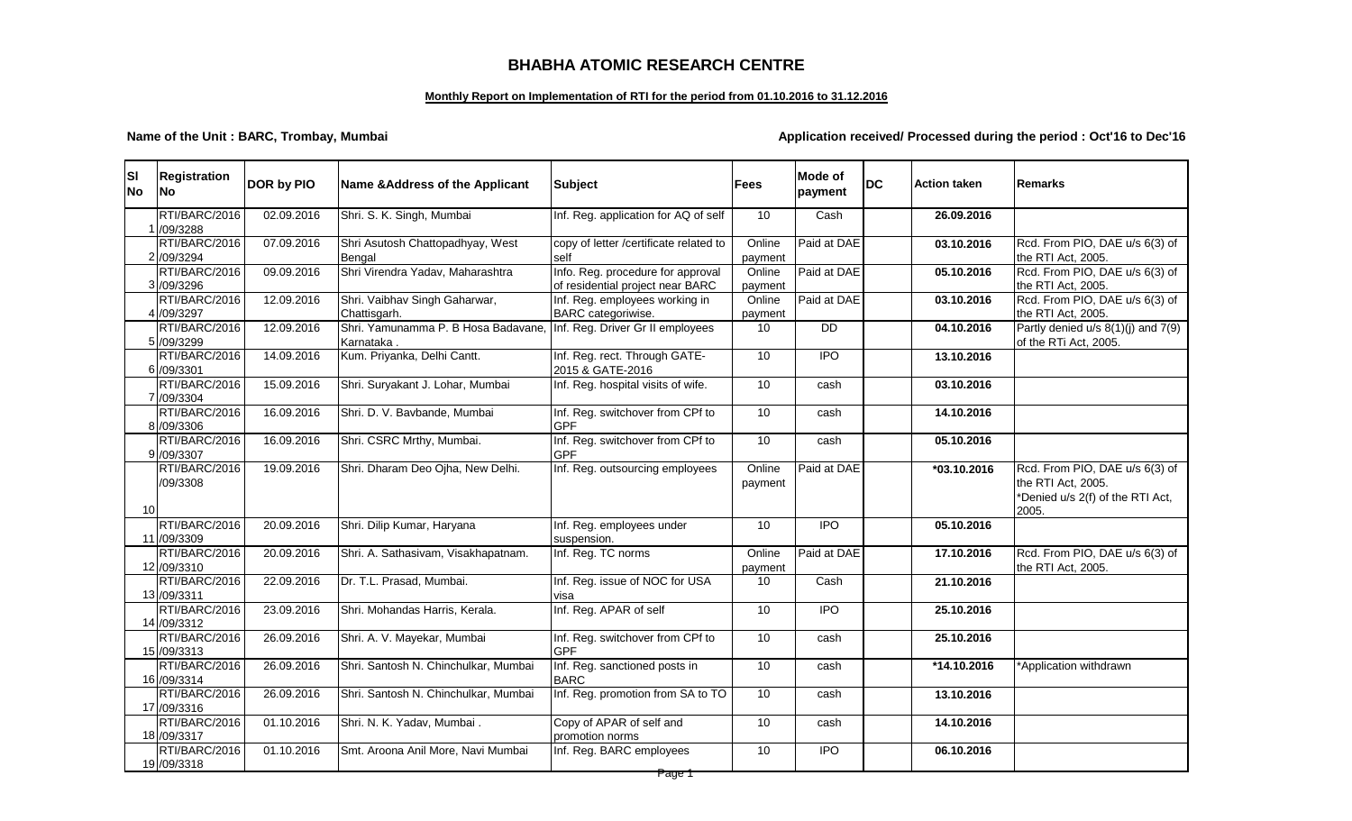## **BHABHA ATOMIC RESEARCH CENTRE**

### **Monthly Report on Implementation of RTI for the period from 01.10.2016 to 31.12.2016**

### **Name of the Unit : BARC, Trombay, Mumbai Application received/ Processed during the period : Oct'16 to Dec'16**

| <b>SI</b><br><b>No</b> | <b>Registration</b><br><b>No</b> | DOR by PIO | Name & Address of the Applicant                   | <b>Subject</b>                                                        | <b>Fees</b>       | <b>Mode of</b><br>payment | <b>DC</b> | <b>Action taken</b> | Remarks                                                                                           |
|------------------------|----------------------------------|------------|---------------------------------------------------|-----------------------------------------------------------------------|-------------------|---------------------------|-----------|---------------------|---------------------------------------------------------------------------------------------------|
|                        | RTI/BARC/2016<br>/09/3288        | 02.09.2016 | Shri. S. K. Singh, Mumbai                         | Inf. Reg. application for AQ of self                                  | 10                | Cash                      |           | 26.09.2016          |                                                                                                   |
|                        | RTI/BARC/2016<br>2 /09/3294      | 07.09.2016 | Shri Asutosh Chattopadhyay, West<br>Bengal        | copy of letter /certificate related to<br>self                        | Online<br>payment | Paid at DAE               |           | 03.10.2016          | Rcd. From PIO, DAE u/s 6(3) of<br>the RTI Act, 2005.                                              |
|                        | RTI/BARC/2016<br>3 /09/3296      | 09.09.2016 | Shri Virendra Yadav, Maharashtra                  | Info. Reg. procedure for approval<br>of residential project near BARC | Online<br>payment | Paid at DAE               |           | 05.10.2016          | Rcd. From PIO, DAE u/s 6(3) of<br>the RTI Act, 2005.                                              |
|                        | RTI/BARC/2016<br>/09/3297        | 12.09.2016 | Shri. Vaibhav Singh Gaharwar,<br>Chattisgarh.     | Inf. Reg. employees working in<br>BARC categoriwise.                  | Online<br>payment | Paid at DAE               |           | 03.10.2016          | Rcd. From PIO, DAE u/s 6(3) of<br>the RTI Act, 2005.                                              |
|                        | RTI/BARC/2016<br>5 /09/3299      | 12.09.2016 | Shri. Yamunamma P. B Hosa Badavane,<br>Karnataka. | Inf. Reg. Driver Gr II employees                                      | 10                | $\overline{DD}$           |           | 04.10.2016          | Partly denied $u/s$ 8(1)(j) and 7(9)<br>of the RTi Act, 2005.                                     |
|                        | RTI/BARC/2016<br>6 /09/3301      | 14.09.2016 | Kum. Priyanka, Delhi Cantt.                       | Inf. Reg. rect. Through GATE-<br>2015 & GATE-2016                     | 10                | $\overline{IPO}$          |           | 13.10.2016          |                                                                                                   |
|                        | RTI/BARC/2016<br>7 /09/3304      | 15.09.2016 | Shri. Suryakant J. Lohar, Mumbai                  | Inf. Reg. hospital visits of wife.                                    | 10                | cash                      |           | 03.10.2016          |                                                                                                   |
|                        | RTI/BARC/2016<br>8 /09/3306      | 16.09.2016 | Shri. D. V. Bavbande, Mumbai                      | Inf. Reg. switchover from CPf to<br><b>GPF</b>                        | 10                | cash                      |           | 14.10.2016          |                                                                                                   |
|                        | RTI/BARC/2016<br>9 /09/3307      | 16.09.2016 | Shri. CSRC Mrthy, Mumbai.                         | Inf. Reg. switchover from CPf to<br><b>GPF</b>                        | 10                | cash                      |           | 05.10.2016          |                                                                                                   |
| 10                     | RTI/BARC/2016<br>/09/3308        | 19.09.2016 | Shri. Dharam Deo Ojha, New Delhi.                 | Inf. Reg. outsourcing employees                                       | Online<br>payment | Paid at DAE               |           | *03.10.2016         | Rcd. From PIO, DAE u/s 6(3) of<br>the RTI Act, 2005.<br>*Denied u/s 2(f) of the RTI Act,<br>2005. |
|                        | RTI/BARC/2016<br>11 /09/3309     | 20.09.2016 | Shri. Dilip Kumar, Haryana                        | Inf. Reg. employees under<br>suspension.                              | 10                | <b>IPO</b>                |           | 05.10.2016          |                                                                                                   |
|                        | RTI/BARC/2016<br>12 /09/3310     | 20.09.2016 | Shri. A. Sathasivam, Visakhapatnam.               | Inf. Reg. TC norms                                                    | Online<br>payment | Paid at DAE               |           | 17.10.2016          | Rcd. From PIO, DAE u/s 6(3) of<br>the RTI Act, 2005.                                              |
|                        | RTI/BARC/2016<br>13 /09/3311     | 22.09.2016 | Dr. T.L. Prasad, Mumbai.                          | Inf. Reg. issue of NOC for USA<br>visa                                | 10                | Cash                      |           | 21.10.2016          |                                                                                                   |
|                        | RTI/BARC/2016<br>14 /09/3312     | 23.09.2016 | Shri. Mohandas Harris, Kerala.                    | Inf. Reg. APAR of self                                                | $\overline{10}$   | <b>IPO</b>                |           | 25.10.2016          |                                                                                                   |
|                        | RTI/BARC/2016<br>15 /09/3313     | 26.09.2016 | Shri. A. V. Mayekar, Mumbai                       | Inf. Reg. switchover from CPf to<br><b>GPF</b>                        | 10                | cash                      |           | 25.10.2016          |                                                                                                   |
|                        | RTI/BARC/2016<br>16 /09/3314     | 26.09.2016 | Shri. Santosh N. Chinchulkar, Mumbai              | Inf. Reg. sanctioned posts in<br><b>BARC</b>                          | 10                | cash                      |           | *14.10.2016         | *Application withdrawn                                                                            |
|                        | RTI/BARC/2016<br>17 /09/3316     | 26.09.2016 | Shri. Santosh N. Chinchulkar, Mumbai              | Inf. Reg. promotion from SA to TO                                     | 10                | cash                      |           | 13.10.2016          |                                                                                                   |
|                        | RTI/BARC/2016<br>18 /09/3317     | 01.10.2016 | Shri. N. K. Yadav, Mumbai.                        | Copy of APAR of self and<br>promotion norms                           | $\overline{10}$   | $\overline{c}$ ash        |           | 14.10.2016          |                                                                                                   |
|                        | RTI/BARC/2016<br>19 /09/3318     | 01.10.2016 | Smt. Aroona Anil More, Navi Mumbai                | Inf. Reg. BARC employees                                              | 10                | $\overline{IPO}$          |           | 06.10.2016          |                                                                                                   |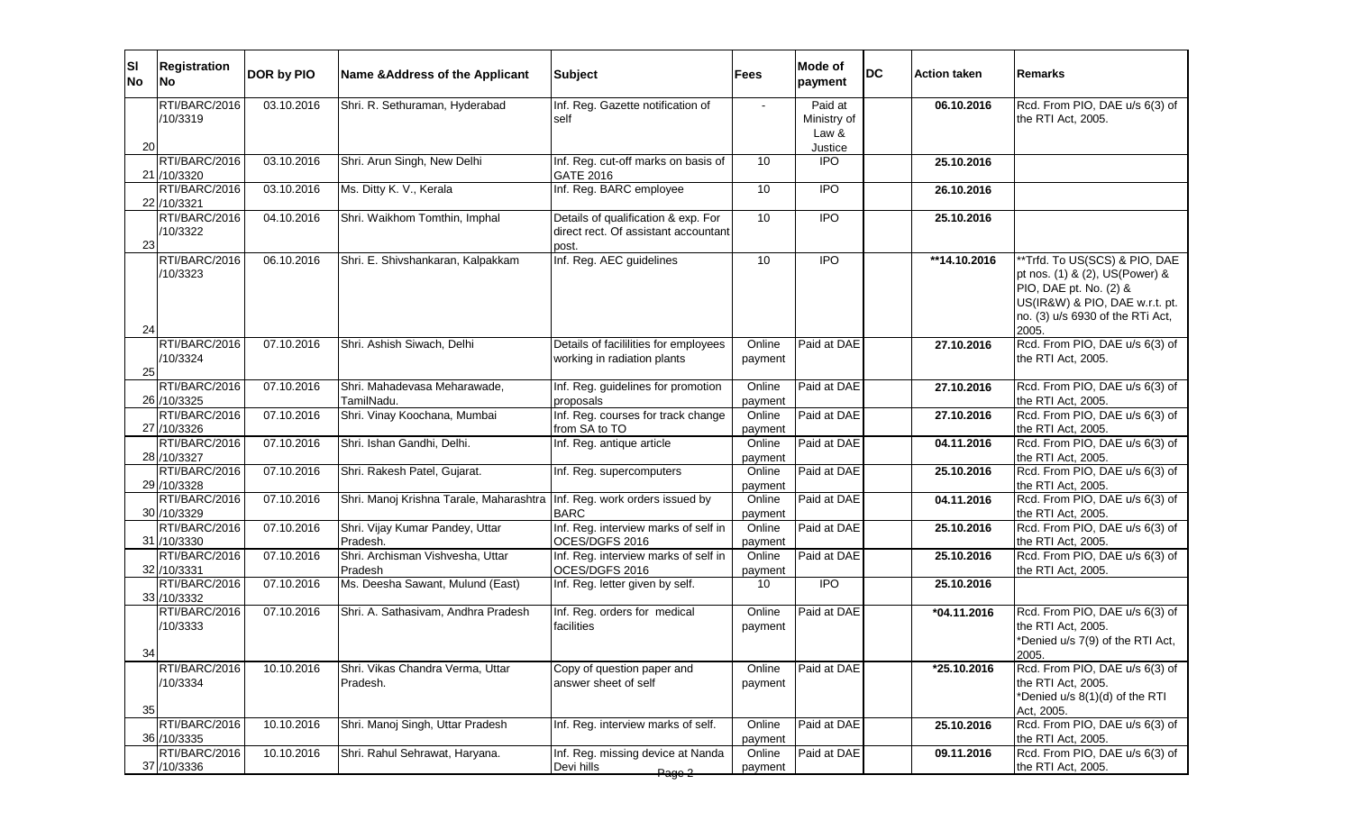| ΙSΙ<br><b>No</b> | <b>Registration</b><br><b>No</b>            | DOR by PIO | Name & Address of the Applicant                                           | <b>Subject</b>                                                                       | Fees                         | Mode of<br>payment                         | <b>DC</b> | <b>Action taken</b> | <b>Remarks</b>                                                                                                                                                           |
|------------------|---------------------------------------------|------------|---------------------------------------------------------------------------|--------------------------------------------------------------------------------------|------------------------------|--------------------------------------------|-----------|---------------------|--------------------------------------------------------------------------------------------------------------------------------------------------------------------------|
| 20               | RTI/BARC/2016<br>/10/3319                   | 03.10.2016 | Shri. R. Sethuraman, Hyderabad                                            | Inf. Reg. Gazette notification of<br>self                                            |                              | Paid at<br>Ministry of<br>Law &<br>Justice |           | 06.10.2016          | Rcd. From PIO, DAE u/s 6(3) of<br>the RTI Act, 2005.                                                                                                                     |
|                  | RTI/BARC/2016<br>21 /10/3320                | 03.10.2016 | Shri. Arun Singh, New Delhi                                               | Inf. Reg. cut-off marks on basis of<br><b>GATE 2016</b>                              | 10                           | <b>IPO</b>                                 |           | 25.10.2016          |                                                                                                                                                                          |
|                  | RTI/BARC/2016<br>22 /10/3321                | 03.10.2016 | Ms. Ditty K. V., Kerala                                                   | Inf. Reg. BARC employee                                                              | 10                           | <b>IPO</b>                                 |           | 26.10.2016          |                                                                                                                                                                          |
| 23               | RTI/BARC/2016<br>/10/3322                   | 04.10.2016 | Shri. Waikhom Tomthin, Imphal                                             | Details of qualification & exp. For<br>direct rect. Of assistant accountant<br>post. | 10                           | <b>IPO</b>                                 |           | 25.10.2016          |                                                                                                                                                                          |
| 24               | RTI/BARC/2016<br>/10/3323                   | 06.10.2016 | Shri. E. Shivshankaran, Kalpakkam                                         | Inf. Reg. AEC guidelines                                                             | 10                           | $\overline{IPO}$                           |           | **14.10.2016        | **Trfd. To US(SCS) & PIO, DAE<br>pt nos. (1) & (2), US(Power) &<br>PIO, DAE pt. No. (2) &<br>US(IR&W) & PIO, DAE w.r.t. pt.<br>no. (3) u/s 6930 of the RTi Act,<br>2005. |
| 25               | RTI/BARC/2016<br>/10/3324                   | 07.10.2016 | Shri. Ashish Siwach, Delhi                                                | Details of facililities for employees<br>working in radiation plants                 | Online<br>payment            | Paid at DAE                                |           | 27.10.2016          | Rcd. From PIO, DAE u/s 6(3) of<br>the RTI Act, 2005.                                                                                                                     |
|                  | RTI/BARC/2016                               | 07.10.2016 | Shri. Mahadevasa Meharawade,                                              | Inf. Reg. guidelines for promotion                                                   | Online                       | Paid at DAE                                |           | 27.10.2016          | Rcd. From PIO, DAE u/s 6(3) of                                                                                                                                           |
|                  | 26 /10/3325<br>RTI/BARC/2016<br>27 /10/3326 | 07.10.2016 | TamilNadu.<br>Shri. Vinay Koochana, Mumbai                                | proposals<br>Inf. Reg. courses for track change<br>from SA to TO                     | payment<br>Online<br>payment | Paid at DAE                                |           | 27.10.2016          | the RTI Act, 2005.<br>Rcd. From PIO, DAE u/s 6(3) of<br>the RTI Act, 2005.                                                                                               |
|                  | RTI/BARC/2016<br>28 /10/3327                | 07.10.2016 | Shri. Ishan Gandhi, Delhi.                                                | Inf. Reg. antique article                                                            | Online<br>payment            | Paid at DAE                                |           | 04.11.2016          | Rcd. From PIO, DAE u/s 6(3) of<br>the RTI Act, 2005.                                                                                                                     |
|                  | RTI/BARC/2016<br>29 /10/3328                | 07.10.2016 | Shri. Rakesh Patel, Gujarat.                                              | Inf. Reg. supercomputers                                                             | Online<br>payment            | Paid at DAE                                |           | 25.10.2016          | Rcd. From PIO, DAE u/s 6(3) of<br>the RTI Act, 2005.                                                                                                                     |
|                  | RTI/BARC/2016<br>30 /10/3329                | 07.10.2016 | Shri. Manoj Krishna Tarale, Maharashtra   Inf. Reg. work orders issued by | <b>BARC</b>                                                                          | Online<br>payment            | Paid at DAE                                |           | 04.11.2016          | Rcd. From PIO, DAE u/s 6(3) of<br>the RTI Act, 2005.                                                                                                                     |
|                  | RTI/BARC/2016<br>31 /10/3330                | 07.10.2016 | Shri. Vijay Kumar Pandey, Uttar<br>Pradesh.                               | Inf. Reg. interview marks of self in<br>OCES/DGFS 2016                               | Online<br>payment            | Paid at DAE                                |           | 25.10.2016          | Rcd. From PIO, DAE u/s 6(3) of<br>the RTI Act, 2005.                                                                                                                     |
|                  | RTI/BARC/2016<br>32 /10/3331                | 07.10.2016 | Shri. Archisman Vishvesha, Uttar<br>Pradesh                               | Inf. Reg. interview marks of self in<br>OCES/DGFS 2016                               | Online<br>payment            | Paid at DAE                                |           | 25.10.2016          | Rcd. From PIO, DAE u/s 6(3) of<br>the RTI Act, 2005.                                                                                                                     |
|                  | RTI/BARC/2016<br>33 /10/3332                | 07.10.2016 | Ms. Deesha Sawant, Mulund (East)                                          | Inf. Reg. letter given by self.                                                      | 10                           | $\overline{IPO}$                           |           | 25.10.2016          |                                                                                                                                                                          |
| 34               | RTI/BARC/2016<br>/10/3333                   | 07.10.2016 | Shri. A. Sathasivam, Andhra Pradesh                                       | Inf. Reg. orders for medical<br>facilities                                           | Online<br>payment            | Paid at DAE                                |           | $*04.11.2016$       | Rcd. From PIO, DAE u/s 6(3) of<br>the RTI Act, 2005.<br>*Denied u/s 7(9) of the RTI Act,<br>2005.                                                                        |
| 35               | RTI/BARC/2016<br>/10/3334                   | 10.10.2016 | Shri. Vikas Chandra Verma, Uttar<br>Pradesh.                              | Copy of question paper and<br>answer sheet of self                                   | Online<br>payment            | Paid at DAE                                |           | *25.10.2016         | Rcd. From PIO, DAE u/s 6(3) of<br>the RTI Act, 2005.<br>*Denied u/s 8(1)(d) of the RTI<br>Act, 2005.                                                                     |
|                  | RTI/BARC/2016<br>36 /10/3335                | 10.10.2016 | Shri. Manoj Singh, Uttar Pradesh                                          | Inf. Reg. interview marks of self.                                                   | Online<br>payment            | Paid at DAE                                |           | 25.10.2016          | Rcd. From PIO, DAE u/s 6(3) of<br>the RTI Act, 2005.                                                                                                                     |
|                  | RTI/BARC/2016<br>37 /10/3336                | 10.10.2016 | Shri. Rahul Sehrawat, Haryana.                                            | Inf. Reg. missing device at Nanda<br>Devi hills<br>Page 2                            | Online<br>payment            | Paid at DAE                                |           | 09.11.2016          | Rcd. From PIO, DAE u/s 6(3) of<br>the RTI Act, 2005.                                                                                                                     |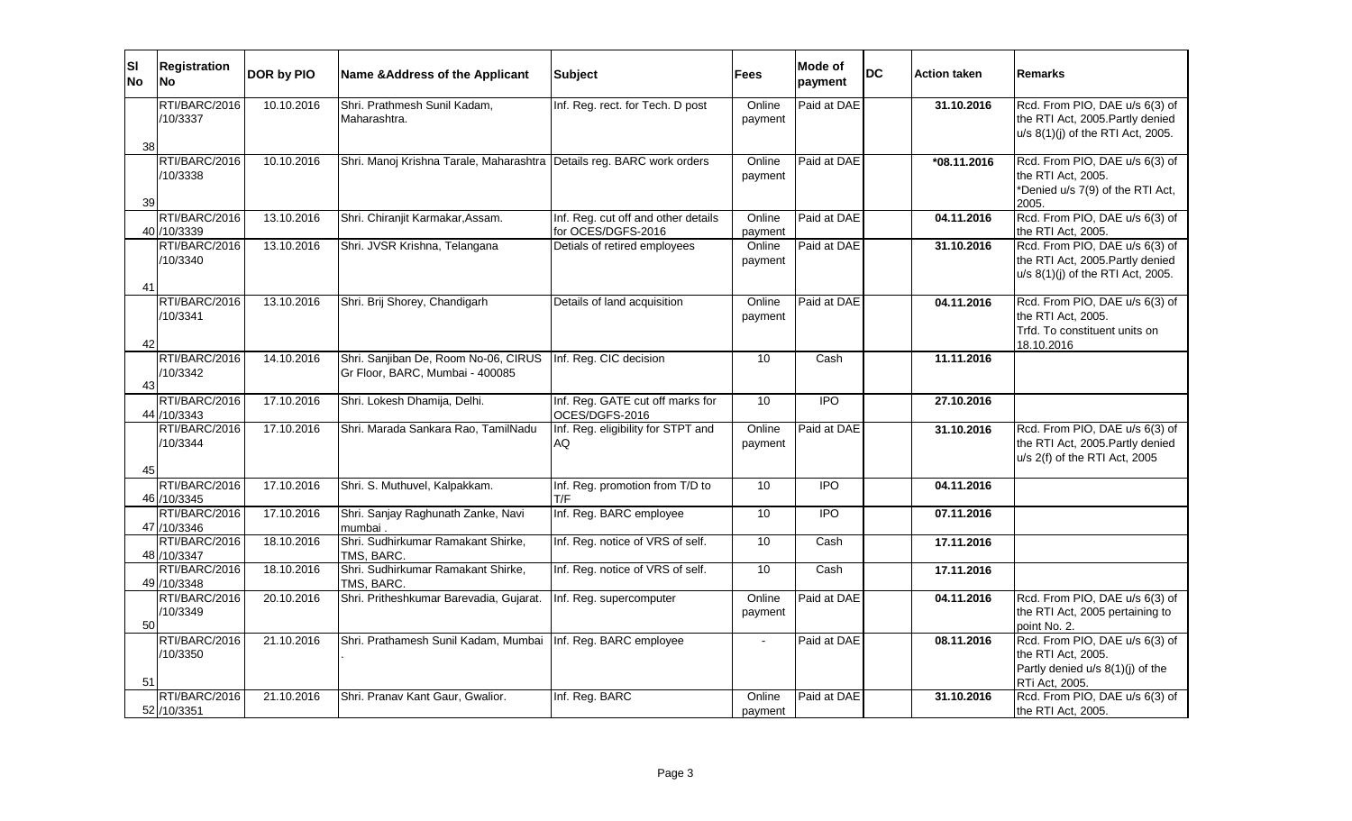| <b>SI</b><br><b>No</b> | <b>Registration</b><br><b>No</b> | DOR by PIO | Name & Address of the Applicant                                         | <b>Subject</b>                                            | Fees              | <b>Mode of</b><br>payment | <b>DC</b> | <b>Action taken</b> | <b>Remarks</b>                                                                                             |
|------------------------|----------------------------------|------------|-------------------------------------------------------------------------|-----------------------------------------------------------|-------------------|---------------------------|-----------|---------------------|------------------------------------------------------------------------------------------------------------|
| 38                     | RTI/BARC/2016<br>/10/3337        | 10.10.2016 | Shri. Prathmesh Sunil Kadam,<br>Maharashtra.                            | Inf. Reg. rect. for Tech. D post                          | Online<br>payment | Paid at DAE               |           | 31.10.2016          | Rcd. From PIO, DAE u/s 6(3) of<br>the RTI Act, 2005. Partly denied<br>u/s 8(1)(j) of the RTI Act, 2005.    |
| 39                     | RTI/BARC/2016<br>/10/3338        | 10.10.2016 | Shri. Manoj Krishna Tarale, Maharashtra Details reg. BARC work orders   |                                                           | Online<br>payment | Paid at DAE               |           | $*08.11.2016$       | Rcd. From PIO, DAE u/s 6(3) of<br>the RTI Act, 2005.<br>*Denied u/s 7(9) of the RTI Act,<br>2005.          |
|                        | RTI/BARC/2016<br>40 /10/3339     | 13.10.2016 | Shri. Chiranjit Karmakar, Assam.                                        | Inf. Reg. cut off and other details<br>for OCES/DGFS-2016 | Online<br>payment | Paid at DAE               |           | 04.11.2016          | Rcd. From PIO, DAE u/s 6(3) of<br>the RTI Act, 2005.                                                       |
| 41                     | RTI/BARC/2016<br>/10/3340        | 13.10.2016 | Shri. JVSR Krishna, Telangana                                           | Detials of retired employees                              | Online<br>payment | Paid at DAE               |           | 31.10.2016          | Rcd. From PIO, DAE u/s 6(3) of<br>the RTI Act, 2005. Partly denied<br>u/s 8(1)(j) of the RTI Act, 2005.    |
| 42                     | RTI/BARC/2016<br>/10/3341        | 13.10.2016 | Shri. Brij Shorey, Chandigarh                                           | Details of land acquisition                               | Online<br>payment | Paid at DAE               |           | 04.11.2016          | Rcd. From PIO, DAE u/s 6(3) of<br>the RTI Act, 2005.<br>Trfd. To constituent units on<br>18.10.2016        |
| 43                     | RTI/BARC/2016<br>/10/3342        | 14.10.2016 | Shri. Sanjiban De, Room No-06, CIRUS<br>Gr Floor, BARC, Mumbai - 400085 | Inf. Reg. CIC decision                                    | 10                | Cash                      |           | 11.11.2016          |                                                                                                            |
|                        | RTI/BARC/2016<br>44 / 10/3343    | 17.10.2016 | Shri. Lokesh Dhamija, Delhi.                                            | Inf. Reg. GATE cut off marks for<br>OCES/DGFS-2016        | 10                | <b>IPO</b>                |           | 27.10.2016          |                                                                                                            |
| 45                     | RTI/BARC/2016<br>/10/3344        | 17.10.2016 | Shri. Marada Sankara Rao, TamilNadu                                     | Inf. Reg. eligibility for STPT and<br><b>AQ</b>           | Online<br>payment | Paid at DAE               |           | 31.10.2016          | Rcd. From PIO, DAE u/s 6(3) of<br>the RTI Act, 2005. Partly denied<br>u/s 2(f) of the RTI Act, 2005        |
|                        | RTI/BARC/2016<br>46 / 10/3345    | 17.10.2016 | Shri. S. Muthuvel, Kalpakkam.                                           | Inf. Reg. promotion from T/D to<br>T/F                    | 10                | <b>IPO</b>                |           | 04.11.2016          |                                                                                                            |
|                        | RTI/BARC/2016<br>47 /10/3346     | 17.10.2016 | Shri. Sanjay Raghunath Zanke, Navi<br>mumbai.                           | Inf. Reg. BARC employee                                   | $\overline{10}$   | $\overline{IPO}$          |           | 07.11.2016          |                                                                                                            |
|                        | RTI/BARC/2016<br>48 /10/3347     | 18.10.2016 | Shri. Sudhirkumar Ramakant Shirke,<br>TMS, BARC.                        | Inf. Reg. notice of VRS of self.                          | 10                | Cash                      |           | 17.11.2016          |                                                                                                            |
|                        | RTI/BARC/2016<br>49 /10/3348     | 18.10.2016 | Shri. Sudhirkumar Ramakant Shirke,<br>TMS, BARC.                        | Inf. Reg. notice of VRS of self.                          | 10                | Cash                      |           | 17.11.2016          |                                                                                                            |
| 50                     | RTI/BARC/2016<br>/10/3349        | 20.10.2016 | Shri. Pritheshkumar Barevadia, Gujarat.                                 | Inf. Reg. supercomputer                                   | Online<br>payment | Paid at DAE               |           | 04.11.2016          | Rcd. From PIO, DAE u/s 6(3) of<br>the RTI Act, 2005 pertaining to<br>point No. 2.                          |
| 51                     | RTI/BARC/2016<br>/10/3350        | 21.10.2016 | Shri. Prathamesh Sunil Kadam, Mumbai   Inf. Reg. BARC employee          |                                                           |                   | Paid at DAE               |           | 08.11.2016          | Rcd. From PIO, DAE u/s 6(3) of<br>the RTI Act, 2005.<br>Partly denied u/s 8(1)(j) of the<br>RTi Act, 2005. |
|                        | RTI/BARC/2016<br>52 /10/3351     | 21.10.2016 | Shri. Pranav Kant Gaur, Gwalior.                                        | Inf. Reg. BARC                                            | Online<br>payment | Paid at DAE               |           | 31.10.2016          | Rcd. From PIO, DAE u/s 6(3) of<br>the RTI Act, 2005.                                                       |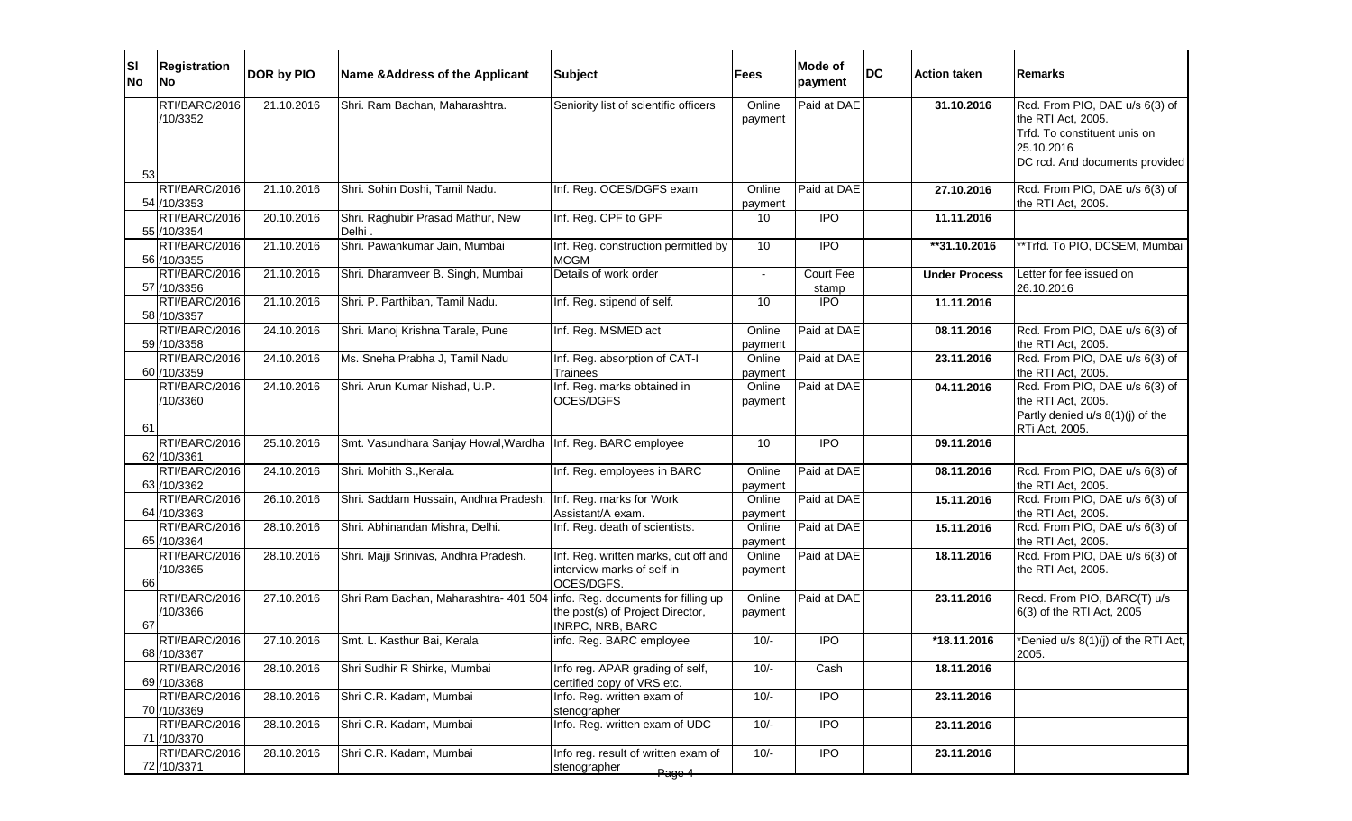| ΙSΙ<br><b>No</b> | <b>Registration</b><br><b>No</b> | <b>DOR by PIO</b> | Name & Address of the Applicant                                           | <b>Subject</b>                                                                   | Fees              | Mode of<br>payment | DC | <b>Action taken</b>  | Remarks                                                                                                                              |
|------------------|----------------------------------|-------------------|---------------------------------------------------------------------------|----------------------------------------------------------------------------------|-------------------|--------------------|----|----------------------|--------------------------------------------------------------------------------------------------------------------------------------|
| 53               | RTI/BARC/2016<br>/10/3352        | 21.10.2016        | Shri. Ram Bachan, Maharashtra.                                            | Seniority list of scientific officers                                            | Online<br>payment | Paid at DAE        |    | 31.10.2016           | Rcd. From PIO, DAE u/s 6(3) of<br>the RTI Act, 2005.<br>Trfd. To constituent unis on<br>25.10.2016<br>DC rcd. And documents provided |
|                  | RTI/BARC/2016<br>54 /10/3353     | 21.10.2016        | Shri. Sohin Doshi, Tamil Nadu.                                            | Inf. Reg. OCES/DGFS exam                                                         | Online<br>payment | Paid at DAE        |    | 27.10.2016           | Rcd. From PIO, DAE u/s 6(3) of<br>the RTI Act, 2005.                                                                                 |
|                  | RTI/BARC/2016<br>55 /10/3354     | 20.10.2016        | Shri. Raghubir Prasad Mathur, New<br>Delhi.                               | Inf. Reg. CPF to GPF                                                             | 10                | <b>IPO</b>         |    | 11.11.2016           |                                                                                                                                      |
|                  | RTI/BARC/2016<br>56 /10/3355     | 21.10.2016        | Shri. Pawankumar Jain, Mumbai                                             | Inf. Reg. construction permitted by<br><b>MCGM</b>                               | 10                | $\overline{1}$     |    | **31.10.2016         | *Trfd. To PIO, DCSEM, Mumbai                                                                                                         |
|                  | RTI/BARC/2016<br>57 /10/3356     | 21.10.2016        | Shri. Dharamveer B. Singh, Mumbai                                         | Details of work order                                                            | $\sim$            | Court Fee<br>stamp |    | <b>Under Process</b> | Letter for fee issued on<br>26.10.2016                                                                                               |
|                  | RTI/BARC/2016<br>58 /10/3357     | 21.10.2016        | Shri. P. Parthiban, Tamil Nadu.                                           | Inf. Reg. stipend of self.                                                       | 10                | $\overline{1}$     |    | 11.11.2016           |                                                                                                                                      |
|                  | RTI/BARC/2016<br>59 /10/3358     | 24.10.2016        | Shri. Manoj Krishna Tarale, Pune                                          | Inf. Reg. MSMED act                                                              | Online<br>payment | Paid at DAE        |    | 08.11.2016           | Rcd. From PIO, DAE u/s 6(3) of<br>the RTI Act, 2005.                                                                                 |
|                  | RTI/BARC/2016<br>60 /10/3359     | 24.10.2016        | Ms. Sneha Prabha J, Tamil Nadu                                            | Inf. Reg. absorption of CAT-I<br>Trainees                                        | Online<br>payment | Paid at DAE        |    | 23.11.2016           | Rcd. From PIO, DAE u/s 6(3) of<br>the RTI Act, 2005.                                                                                 |
|                  | RTI/BARC/2016<br>/10/3360        | 24.10.2016        | Shri. Arun Kumar Nishad, U.P.                                             | Inf. Reg. marks obtained in<br>OCES/DGFS                                         | Online<br>payment | Paid at DAE        |    | 04.11.2016           | Rcd. From PIO, DAE u/s 6(3) of<br>the RTI Act, 2005.<br>Partly denied u/s 8(1)(j) of the                                             |
| 61               | RTI/BARC/2016<br>62 /10/3361     | 25.10.2016        | Smt. Vasundhara Sanjay Howal, Wardha   Inf. Reg. BARC employee            |                                                                                  | 10                | <b>IPO</b>         |    | 09.11.2016           | RTi Act, 2005.                                                                                                                       |
|                  | RTI/BARC/2016<br>63 / 10/3362    | 24.10.2016        | Shri. Mohith S., Kerala.                                                  | Inf. Reg. employees in BARC                                                      | Online<br>payment | Paid at DAE        |    | 08.11.2016           | Rcd. From PIO, DAE u/s 6(3) of<br>the RTI Act, 2005.                                                                                 |
|                  | RTI/BARC/2016<br>64 /10/3363     | 26.10.2016        | Shri. Saddam Hussain, Andhra Pradesh.                                     | Inf. Reg. marks for Work<br>Assistant/A exam.                                    | Online<br>payment | Paid at DAE        |    | 15.11.2016           | Rcd. From PIO, DAE u/s 6(3) of<br>the RTI Act, 2005.                                                                                 |
|                  | RTI/BARC/2016<br>65 /10/3364     | 28.10.2016        | Shri. Abhinandan Mishra, Delhi.                                           | Inf. Reg. death of scientists.                                                   | Online<br>payment | Paid at DAE        |    | 15.11.2016           | Rcd. From PIO, DAE u/s 6(3) of<br>the RTI Act, 2005.                                                                                 |
| 66               | RTI/BARC/2016<br>/10/3365        | 28.10.2016        | Shri. Majji Srinivas, Andhra Pradesh.                                     | Inf. Reg. written marks, cut off and<br>interview marks of self in<br>OCES/DGFS. | Online<br>payment | Paid at DAE        |    | 18.11.2016           | Rcd. From PIO, DAE u/s 6(3) of<br>the RTI Act, 2005.                                                                                 |
| 67               | RTI/BARC/2016<br>/10/3366        | 27.10.2016        | Shri Ram Bachan, Maharashtra- 401 504 info. Reg. documents for filling up | the post(s) of Project Director,<br><b>INRPC, NRB, BARC</b>                      | Online<br>payment | Paid at DAE        |    | 23.11.2016           | Recd. From PIO, BARC(T) u/s<br>6(3) of the RTI Act, 2005                                                                             |
|                  | RTI/BARC/2016<br>68 /10/3367     | 27.10.2016        | Smt. L. Kasthur Bai, Kerala                                               | info. Reg. BARC employee                                                         | $10/-$            | <b>IPO</b>         |    | *18.11.2016          | *Denied u/s 8(1)(j) of the RTI Act,<br>2005.                                                                                         |
|                  | RTI/BARC/2016<br>69 /10/3368     | 28.10.2016        | Shri Sudhir R Shirke, Mumbai                                              | Info reg. APAR grading of self,<br>certified copy of VRS etc.                    | $10/-$            | Cash               |    | 18.11.2016           |                                                                                                                                      |
|                  | RTI/BARC/2016<br>70 /10/3369     | 28.10.2016        | Shri C.R. Kadam, Mumbai                                                   | Info. Reg. written exam of<br>stenographer                                       | $10/-$            | $\overline{1}$     |    | 23.11.2016           |                                                                                                                                      |
|                  | RTI/BARC/2016<br>71 /10/3370     | 28.10.2016        | Shri C.R. Kadam, Mumbai                                                   | Info. Reg. written exam of UDC                                                   | $10/-$            | <b>IPO</b>         |    | 23.11.2016           |                                                                                                                                      |
|                  | RTI/BARC/2016<br>72 /10/3371     | 28.10.2016        | Shri C.R. Kadam, Mumbai                                                   | Info reg. result of written exam of<br>stenographer<br>Page 4                    | $10/-$            | $\overline{1}$     |    | 23.11.2016           |                                                                                                                                      |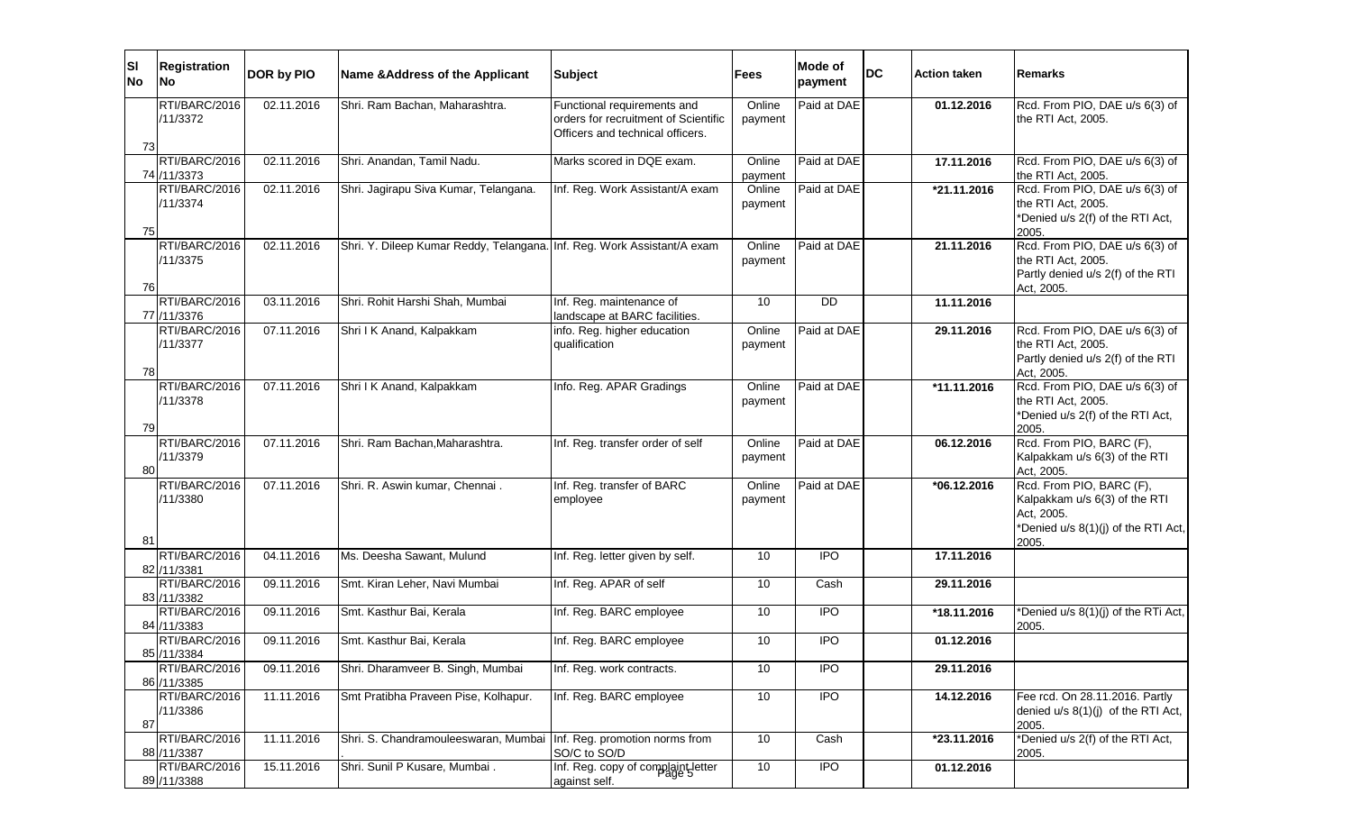| ΙSΙ<br><b>No</b> | <b>Registration</b><br>No    | DOR by PIO | Name & Address of the Applicant                                         | <b>Subject</b>                                                                                          | <b>Fees</b>       | Mode of<br>payment | <b>DC</b> | <b>Action taken</b> | <b>Remarks</b>                                                                                                          |
|------------------|------------------------------|------------|-------------------------------------------------------------------------|---------------------------------------------------------------------------------------------------------|-------------------|--------------------|-----------|---------------------|-------------------------------------------------------------------------------------------------------------------------|
| 73               | RTI/BARC/2016<br>/11/3372    | 02.11.2016 | Shri. Ram Bachan, Maharashtra.                                          | Functional requirements and<br>orders for recruitment of Scientific<br>Officers and technical officers. | Online<br>payment | Paid at DAE        |           | 01.12.2016          | Rcd. From PIO, DAE u/s 6(3) of<br>the RTI Act, 2005.                                                                    |
|                  | RTI/BARC/2016<br>74 /11/3373 | 02.11.2016 | Shri. Anandan, Tamil Nadu.                                              | Marks scored in DQE exam.                                                                               | Online<br>payment | Paid at DAE        |           | 17.11.2016          | Rcd. From PIO, DAE u/s 6(3) of<br>the RTI Act, 2005.                                                                    |
| 75               | RTI/BARC/2016<br>/11/3374    | 02.11.2016 | Shri. Jagirapu Siva Kumar, Telangana.                                   | Inf. Reg. Work Assistant/A exam                                                                         | Online<br>payment | Paid at DAE        |           | *21.11.2016         | Rcd. From PIO, DAE u/s 6(3) of<br>the RTI Act, 2005.<br>*Denied u/s 2(f) of the RTI Act,<br>2005.                       |
| 76               | RTI/BARC/2016<br>/11/3375    | 02.11.2016 | Shri. Y. Dileep Kumar Reddy, Telangana. Inf. Reg. Work Assistant/A exam |                                                                                                         | Online<br>payment | Paid at DAE        |           | 21.11.2016          | Rcd. From PIO, DAE u/s 6(3) of<br>the RTI Act, 2005.<br>Partly denied u/s 2(f) of the RTI<br>Act, 2005.                 |
|                  | RTI/BARC/2016<br>77 /11/3376 | 03.11.2016 | Shri. Rohit Harshi Shah, Mumbai                                         | Inf. Reg. maintenance of<br>landscape at BARC facilities.                                               | 10                | <b>DD</b>          |           | 11.11.2016          |                                                                                                                         |
| 78               | RTI/BARC/2016<br>/11/3377    | 07.11.2016 | Shri I K Anand, Kalpakkam                                               | info. Reg. higher education<br>qualification                                                            | Online<br>payment | Paid at DAE        |           | 29.11.2016          | Rcd. From PIO, DAE u/s 6(3) of<br>the RTI Act, 2005.<br>Partly denied u/s 2(f) of the RTI<br>Act, 2005.                 |
| 79               | RTI/BARC/2016<br>/11/3378    | 07.11.2016 | Shri I K Anand, Kalpakkam                                               | Info. Reg. APAR Gradings                                                                                | Online<br>payment | Paid at DAE        |           | *11.11.2016         | Rcd. From PIO, DAE u/s 6(3) of<br>the RTI Act, 2005.<br>*Denied u/s 2(f) of the RTI Act,<br>2005.                       |
| 80               | RTI/BARC/2016<br>/11/3379    | 07.11.2016 | Shri. Ram Bachan, Maharashtra.                                          | Inf. Reg. transfer order of self                                                                        | Online<br>payment | Paid at DAE        |           | 06.12.2016          | Rcd. From PIO, BARC (F),<br>Kalpakkam u/s 6(3) of the RTI<br>Act, 2005.                                                 |
| 81               | RTI/BARC/2016<br>/11/3380    | 07.11.2016 | Shri. R. Aswin kumar, Chennai.                                          | Inf. Reg. transfer of BARC<br>employee                                                                  | Online<br>payment | Paid at DAE        |           | $*06.12.2016$       | Rcd. From PIO, BARC (F),<br>Kalpakkam u/s 6(3) of the RTI<br>Act, 2005.<br>*Denied u/s 8(1)(j) of the RTI Act,<br>2005. |
|                  | RTI/BARC/2016<br>82 /11/3381 | 04.11.2016 | Ms. Deesha Sawant, Mulund                                               | Inf. Reg. letter given by self.                                                                         | 10                | $\overline{1}$     |           | 17.11.2016          |                                                                                                                         |
|                  | RTI/BARC/2016<br>83 /11/3382 | 09.11.2016 | Smt. Kiran Leher, Navi Mumbai                                           | Inf. Reg. APAR of self                                                                                  | 10                | Cash               |           | 29.11.2016          |                                                                                                                         |
|                  | RTI/BARC/2016<br>84 /11/3383 | 09.11.2016 | Smt. Kasthur Bai, Kerala                                                | Inf. Reg. BARC employee                                                                                 | 10                | $\overline{1}$     |           | *18.11.2016         | *Denied u/s 8(1)(j) of the RTi Act,<br>2005.                                                                            |
|                  | RTI/BARC/2016<br>85 /11/3384 | 09.11.2016 | Smt. Kasthur Bai, Kerala                                                | Inf. Reg. BARC employee                                                                                 | 10                | $\overline{1}$     |           | 01.12.2016          |                                                                                                                         |
|                  | RTI/BARC/2016<br>86 /11/3385 | 09.11.2016 | Shri. Dharamveer B. Singh, Mumbai                                       | Inf. Reg. work contracts.                                                                               | 10                | $\overline{1}$     |           | 29.11.2016          |                                                                                                                         |
| 87               | RTI/BARC/2016<br>/11/3386    | 11.11.2016 | Smt Pratibha Praveen Pise, Kolhapur.                                    | Inf. Reg. BARC employee                                                                                 | 10                | <b>IPO</b>         |           | 14.12.2016          | Fee rcd. On 28.11.2016. Partly<br>denied u/s 8(1)(j) of the RTI Act,<br>2005.                                           |
|                  | RTI/BARC/2016<br>88 /11/3387 | 11.11.2016 | Shri. S. Chandramouleeswaran, Mumbai   Inf. Reg. promotion norms from   | SO/C to SO/D                                                                                            | 10                | Cash               |           | *23.11.2016         | *Denied u/s 2(f) of the RTI Act,<br>2005.                                                                               |
|                  | RTI/BARC/2016<br>89 /11/3388 | 15.11.2016 | Shri. Sunil P Kusare, Mumbai.                                           | Inf. Reg. copy of complaint letter<br>against self.                                                     | 10                | IPO                |           | 01.12.2016          |                                                                                                                         |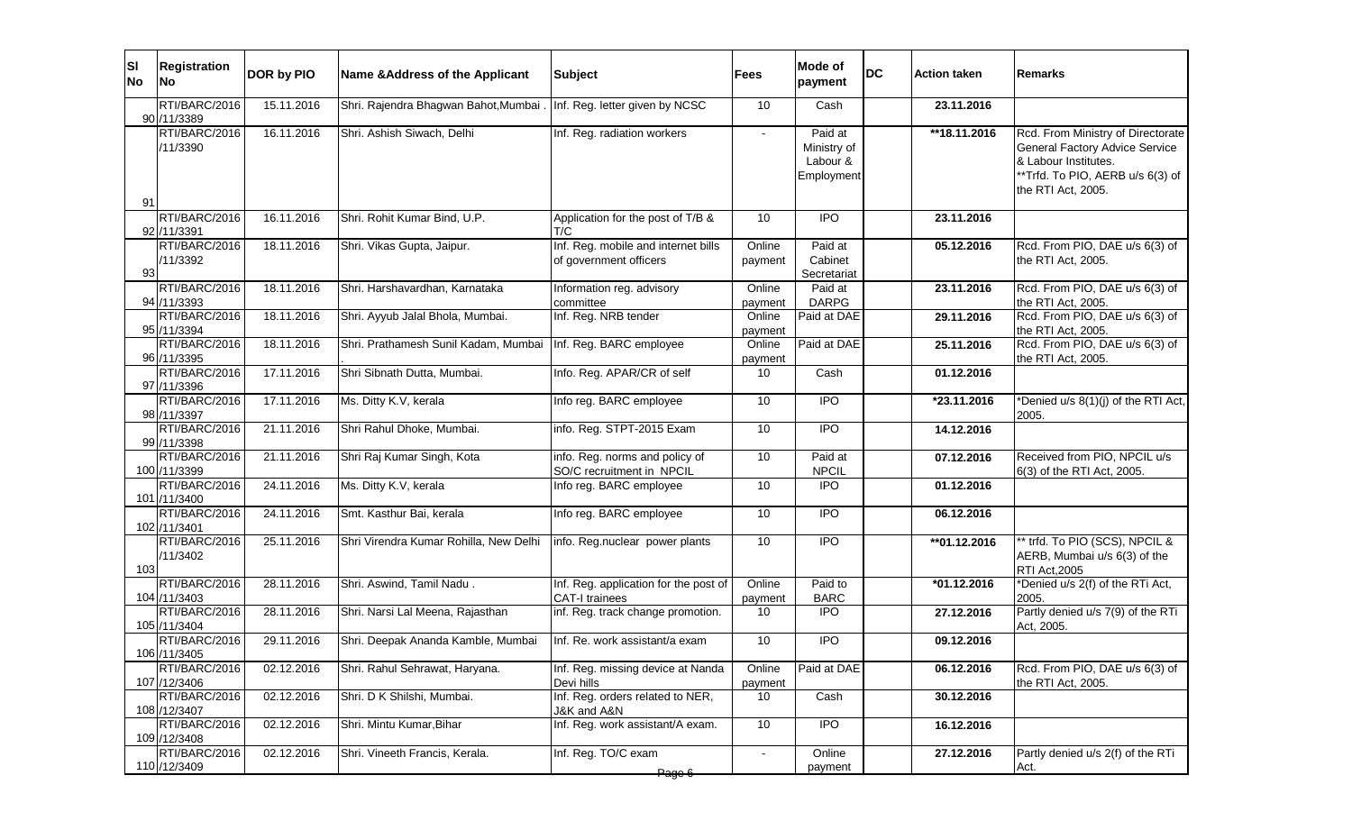| <b>SI</b><br>No | <b>Registration</b><br><b>No</b> | DOR by PIO | Name & Address of the Applicant                                       | <b>Subject</b>                                                 | <b>Fees</b>              | Mode of<br>payment                               | <b>DC</b> | <b>Action taken</b> | <b>Remarks</b>                                                                                                                                        |
|-----------------|----------------------------------|------------|-----------------------------------------------------------------------|----------------------------------------------------------------|--------------------------|--------------------------------------------------|-----------|---------------------|-------------------------------------------------------------------------------------------------------------------------------------------------------|
|                 | RTI/BARC/2016<br>90 /11/3389     | 15.11.2016 | Shri. Rajendra Bhagwan Bahot, Mumbai . Inf. Reg. letter given by NCSC |                                                                | 10                       | Cash                                             |           | 23.11.2016          |                                                                                                                                                       |
| 91              | RTI/BARC/2016<br>/11/3390        | 16.11.2016 | Shri. Ashish Siwach, Delhi                                            | Inf. Reg. radiation workers                                    | $\overline{\phantom{a}}$ | Paid at<br>Ministry of<br>Labour &<br>Employment |           | **18.11.2016        | Rcd. From Ministry of Directorate<br>General Factory Advice Service<br>& Labour Institutes.<br>**Trfd. To PIO, AERB u/s 6(3) of<br>the RTI Act, 2005. |
|                 | RTI/BARC/2016<br>92 /11/3391     | 16.11.2016 | Shri. Rohit Kumar Bind, U.P.                                          | Application for the post of T/B &<br>T/C                       | 10                       | <b>IPO</b>                                       |           | 23.11.2016          |                                                                                                                                                       |
| 93              | RTI/BARC/2016<br>/11/3392        | 18.11.2016 | Shri. Vikas Gupta, Jaipur.                                            | Inf. Reg. mobile and internet bills<br>of government officers  | Online<br>payment        | Paid at<br>Cabinet<br>Secretariat                |           | 05.12.2016          | Rcd. From PIO, DAE u/s 6(3) of<br>the RTI Act, 2005.                                                                                                  |
|                 | RTI/BARC/2016<br>94 /11/3393     | 18.11.2016 | Shri. Harshavardhan, Karnataka                                        | Information reg. advisory<br>committee                         | Online<br>payment        | Paid at<br><b>DARPG</b>                          |           | 23.11.2016          | Rcd. From PIO, DAE u/s 6(3) of<br>the RTI Act, 2005.                                                                                                  |
|                 | RTI/BARC/2016<br>95 /11/3394     | 18.11.2016 | Shri. Ayyub Jalal Bhola, Mumbai.                                      | Inf. Reg. NRB tender                                           | Online<br>payment        | Paid at DAE                                      |           | 29.11.2016          | Rcd. From PIO, DAE u/s 6(3) of<br>the RTI Act, 2005.                                                                                                  |
|                 | RTI/BARC/2016<br>96 /11/3395     | 18.11.2016 | Shri. Prathamesh Sunil Kadam, Mumbai   Inf. Reg. BARC employee        |                                                                | Online<br>payment        | Paid at DAE                                      |           | 25.11.2016          | Rcd. From PIO, DAE u/s 6(3) of<br>the RTI Act, 2005.                                                                                                  |
|                 | RTI/BARC/2016<br>97 /11/3396     | 17.11.2016 | Shri Sibnath Dutta, Mumbai.                                           | Info. Reg. APAR/CR of self                                     | 10                       | Cash                                             |           | 01.12.2016          |                                                                                                                                                       |
|                 | RTI/BARC/2016<br>98 /11/3397     | 17.11.2016 | Ms. Ditty K.V, kerala                                                 | Info reg. BARC employee                                        | $\overline{10}$          | $\overline{1}$                                   |           | *23.11.2016         | *Denied u/s 8(1)(j) of the RTI Act,<br>2005.                                                                                                          |
|                 | RTI/BARC/2016<br>99 /11/3398     | 21.11.2016 | Shri Rahul Dhoke, Mumbai.                                             | info. Reg. STPT-2015 Exam                                      | 10 <sup>°</sup>          | $\overline{1}$                                   |           | 14.12.2016          |                                                                                                                                                       |
|                 | RTI/BARC/2016<br>100 /11/3399    | 21.11.2016 | Shri Raj Kumar Singh, Kota                                            | info. Reg. norms and policy of<br>SO/C recruitment in NPCIL    | $\overline{10}$          | Paid at<br><b>NPCIL</b>                          |           | 07.12.2016          | Received from PIO, NPCIL u/s<br>6(3) of the RTI Act, 2005.                                                                                            |
|                 | RTI/BARC/2016<br>101 /11/3400    | 24.11.2016 | Ms. Ditty K.V, kerala                                                 | Info reg. BARC employee                                        | 10 <sup>°</sup>          | $\overline{1}$                                   |           | 01.12.2016          |                                                                                                                                                       |
|                 | RTI/BARC/2016<br>102 /11/3401    | 24.11.2016 | Smt. Kasthur Bai, kerala                                              | Info reg. BARC employee                                        | $\overline{10}$          | $\overline{1}$                                   |           | 06.12.2016          |                                                                                                                                                       |
| 103             | RTI/BARC/2016<br>/11/3402        | 25.11.2016 | Shri Virendra Kumar Rohilla, New Delhi                                | info. Reg.nuclear power plants                                 | 10                       | <b>IPO</b>                                       |           | **01.12.2016        | ** trfd. To PIO (SCS), NPCIL &<br>AERB, Mumbai u/s 6(3) of the<br><b>RTI Act, 2005</b>                                                                |
|                 | RTI/BARC/2016<br>104 /11/3403    | 28.11.2016 | Shri. Aswind, Tamil Nadu.                                             | Inf. Reg. application for the post of<br><b>CAT-I trainees</b> | Online<br>payment        | Paid to<br><b>BARC</b>                           |           | $*01.12.2016$       | *Denied u/s 2(f) of the RTi Act,<br>2005.                                                                                                             |
|                 | RTI/BARC/2016<br>105 /11/3404    | 28.11.2016 | Shri. Narsi Lal Meena, Rajasthan                                      | inf. Reg. track change promotion.                              | 10                       | <b>IPO</b>                                       |           | 27.12.2016          | Partly denied u/s 7(9) of the RTi<br>Act, 2005.                                                                                                       |
|                 | RTI/BARC/2016<br>106 / 11/3405   | 29.11.2016 | Shri. Deepak Ananda Kamble, Mumbai                                    | Inf. Re. work assistant/a exam                                 | $\overline{10}$          | $\overline{1}$                                   |           | 09.12.2016          |                                                                                                                                                       |
|                 | RTI/BARC/2016<br>107 /12/3406    | 02.12.2016 | Shri. Rahul Sehrawat, Haryana.                                        | Inf. Reg. missing device at Nanda<br>Devi hills                | Online<br>payment        | Paid at DAE                                      |           | 06.12.2016          | Rcd. From PIO, DAE u/s 6(3) of<br>the RTI Act, 2005.                                                                                                  |
|                 | RTI/BARC/2016<br>108 /12/3407    | 02.12.2016 | Shri. D K Shilshi, Mumbai.                                            | Inf. Reg. orders related to NER,<br>J&K and A&N                | 10                       | Cash                                             |           | 30.12.2016          |                                                                                                                                                       |
|                 | RTI/BARC/2016<br>109 /12/3408    | 02.12.2016 | Shri. Mintu Kumar, Bihar                                              | Inf. Reg. work assistant/A exam.                               | 10                       | <b>IPO</b>                                       |           | 16.12.2016          |                                                                                                                                                       |
|                 | RTI/BARC/2016<br>110 /12/3409    | 02.12.2016 | Shri. Vineeth Francis, Kerala.                                        | Inf. Reg. TO/C exam                                            | $\overline{\phantom{a}}$ | Online<br>payment                                |           | 27.12.2016          | Partly denied u/s 2(f) of the RTi<br>Act.                                                                                                             |
|                 |                                  |            |                                                                       | Page 6                                                         |                          |                                                  |           |                     |                                                                                                                                                       |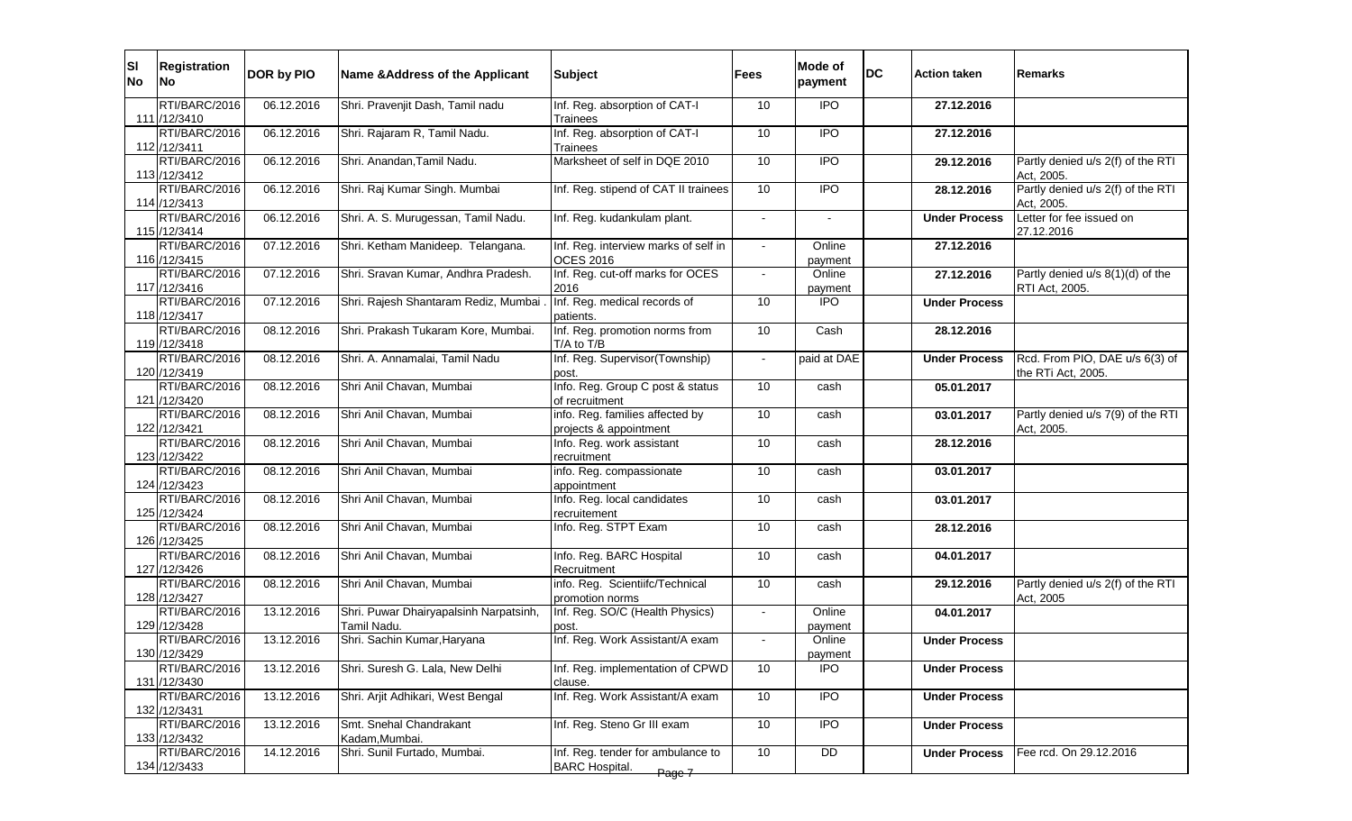| SI <br><b>No</b> | <b>Registration</b><br><b>INo</b> | DOR by PIO | Name & Address of the Applicant                       | <b>Subject</b>                                                       | Fees | Mode of<br>payment | <b>DC</b> | <b>Action taken</b>  | lRemarks                                             |
|------------------|-----------------------------------|------------|-------------------------------------------------------|----------------------------------------------------------------------|------|--------------------|-----------|----------------------|------------------------------------------------------|
|                  | RTI/BARC/2016<br>111 /12/3410     | 06.12.2016 | Shri. Pravenjit Dash, Tamil nadu                      | Inf. Reg. absorption of CAT-I<br>Trainees                            | 10   | <b>IPO</b>         |           | 27.12.2016           |                                                      |
|                  | RTI/BARC/2016<br>112 /12/3411     | 06.12.2016 | Shri. Rajaram R, Tamil Nadu.                          | Inf. Reg. absorption of CAT-I<br>Trainees                            | 10   | $\overline{1}$     |           | 27.12.2016           |                                                      |
|                  | RTI/BARC/2016<br>113 /12/3412     | 06.12.2016 | Shri. Anandan, Tamil Nadu.                            | Marksheet of self in DQE 2010                                        | 10   | <b>IPO</b>         |           | 29.12.2016           | Partly denied u/s 2(f) of the RTI<br>Act, 2005.      |
|                  | RTI/BARC/2016<br>114 / 12/3413    | 06.12.2016 | Shri. Raj Kumar Singh. Mumbai                         | Inf. Reg. stipend of CAT II trainees                                 | 10   | $\overline{1}$     |           | 28.12.2016           | Partly denied u/s 2(f) of the RTI<br>Act, 2005.      |
|                  | RTI/BARC/2016<br>115 /12/3414     | 06.12.2016 | Shri. A. S. Murugessan, Tamil Nadu.                   | Inf. Reg. kudankulam plant.                                          |      |                    |           | <b>Under Process</b> | Letter for fee issued on<br>27.12.2016               |
|                  | RTI/BARC/2016<br>116 / 12/3415    | 07.12.2016 | Shri. Ketham Manideep. Telangana.                     | Inf. Reg. interview marks of self in<br><b>OCES 2016</b>             |      | Online<br>payment  |           | 27.12.2016           |                                                      |
|                  | RTI/BARC/2016<br>117 /12/3416     | 07.12.2016 | Shri. Sravan Kumar, Andhra Pradesh.                   | Inf. Reg. cut-off marks for OCES<br>2016                             |      | Online<br>payment  |           | 27.12.2016           | Partly denied u/s 8(1)(d) of the<br>RTI Act, 2005.   |
|                  | RTI/BARC/2016<br>118 /12/3417     | 07.12.2016 | Shri. Rajesh Shantaram Rediz, Mumbai                  | Inf. Reg. medical records of<br>patients.                            | 10   | <b>IPO</b>         |           | <b>Under Process</b> |                                                      |
|                  | RTI/BARC/2016<br>119 / 12/3418    | 08.12.2016 | Shri. Prakash Tukaram Kore, Mumbai.                   | Inf. Reg. promotion norms from<br>T/A to T/B                         | 10   | Cash               |           | 28.12.2016           |                                                      |
|                  | RTI/BARC/2016<br>120 /12/3419     | 08.12.2016 | Shri. A. Annamalai, Tamil Nadu                        | Inf. Reg. Supervisor(Township)<br>post.                              |      | paid at DAE        |           | <b>Under Process</b> | Rcd. From PIO, DAE u/s 6(3) of<br>the RTi Act, 2005. |
|                  | RTI/BARC/2016<br>121 /12/3420     | 08.12.2016 | Shri Anil Chavan, Mumbai                              | Info. Reg. Group C post & status<br>of recruitment                   | 10   | cash               |           | 05.01.2017           |                                                      |
|                  | RTI/BARC/2016<br>122 /12/3421     | 08.12.2016 | Shri Anil Chavan, Mumbai                              | info. Reg. families affected by<br>projects & appointment            | 10   | cash               |           | 03.01.2017           | Partly denied u/s 7(9) of the RTI<br>Act, 2005.      |
|                  | RTI/BARC/2016<br>123 / 12/3422    | 08.12.2016 | Shri Anil Chavan, Mumbai                              | Info. Reg. work assistant<br>recruitment                             | 10   | cash               |           | 28.12.2016           |                                                      |
|                  | RTI/BARC/2016<br>124 /12/3423     | 08.12.2016 | Shri Anil Chavan, Mumbai                              | info. Reg. compassionate<br>appointment                              | 10   | cash               |           | 03.01.2017           |                                                      |
|                  | RTI/BARC/2016<br>125 /12/3424     | 08.12.2016 | Shri Anil Chavan, Mumbai                              | Info. Reg. local candidates<br>recruitement                          | 10   | cash               |           | 03.01.2017           |                                                      |
|                  | RTI/BARC/2016<br>126 / 12/3425    | 08.12.2016 | Shri Anil Chavan, Mumbai                              | Info. Reg. STPT Exam                                                 | 10   | cash               |           | 28.12.2016           |                                                      |
|                  | RTI/BARC/2016<br>127 /12/3426     | 08.12.2016 | Shri Anil Chavan, Mumbai                              | Info. Reg. BARC Hospital<br>Recruitment                              | 10   | cash               |           | 04.01.2017           |                                                      |
|                  | RTI/BARC/2016<br>128 / 12/3427    | 08.12.2016 | Shri Anil Chavan, Mumbai                              | info. Reg. Scientiifc/Technical<br>promotion norms                   | 10   | cash               |           | 29.12.2016           | Partly denied u/s 2(f) of the RTI<br>Act, 2005       |
|                  | RTI/BARC/2016<br>129 /12/3428     | 13.12.2016 | Shri. Puwar Dhairyapalsinh Narpatsinh,<br>Tamil Nadu. | Inf. Reg. SO/C (Health Physics)<br>post.                             |      | Online<br>payment  |           | 04.01.2017           |                                                      |
|                  | RTI/BARC/2016<br>130 / 12/3429    | 13.12.2016 | Shri. Sachin Kumar, Haryana                           | Inf. Reg. Work Assistant/A exam                                      |      | Online<br>payment  |           | <b>Under Process</b> |                                                      |
|                  | RTI/BARC/2016<br>131 /12/3430     | 13.12.2016 | Shri. Suresh G. Lala, New Delhi                       | Inf. Reg. implementation of CPWD<br>clause.                          | 10   | IPO.               |           | <b>Under Process</b> |                                                      |
|                  | RTI/BARC/2016<br>132 /12/3431     | 13.12.2016 | Shri. Arjit Adhikari, West Bengal                     | Inf. Reg. Work Assistant/A exam                                      | 10   | $\overline{1}$     |           | <b>Under Process</b> |                                                      |
|                  | RTI/BARC/2016<br>133 / 12/3432    | 13.12.2016 | Smt. Snehal Chandrakant<br>Kadam, Mumbai.             | Inf. Reg. Steno Gr III exam                                          | 10   | $\overline{1}$     |           | <b>Under Process</b> |                                                      |
|                  | RTI/BARC/2016<br>134 /12/3433     | 14.12.2016 | Shri. Sunil Furtado, Mumbai.                          | Inf. Reg. tender for ambulance to<br><b>BARC Hospital.</b><br>Page 7 | 10   | DD                 |           | <b>Under Process</b> | Fee rcd. On 29.12.2016                               |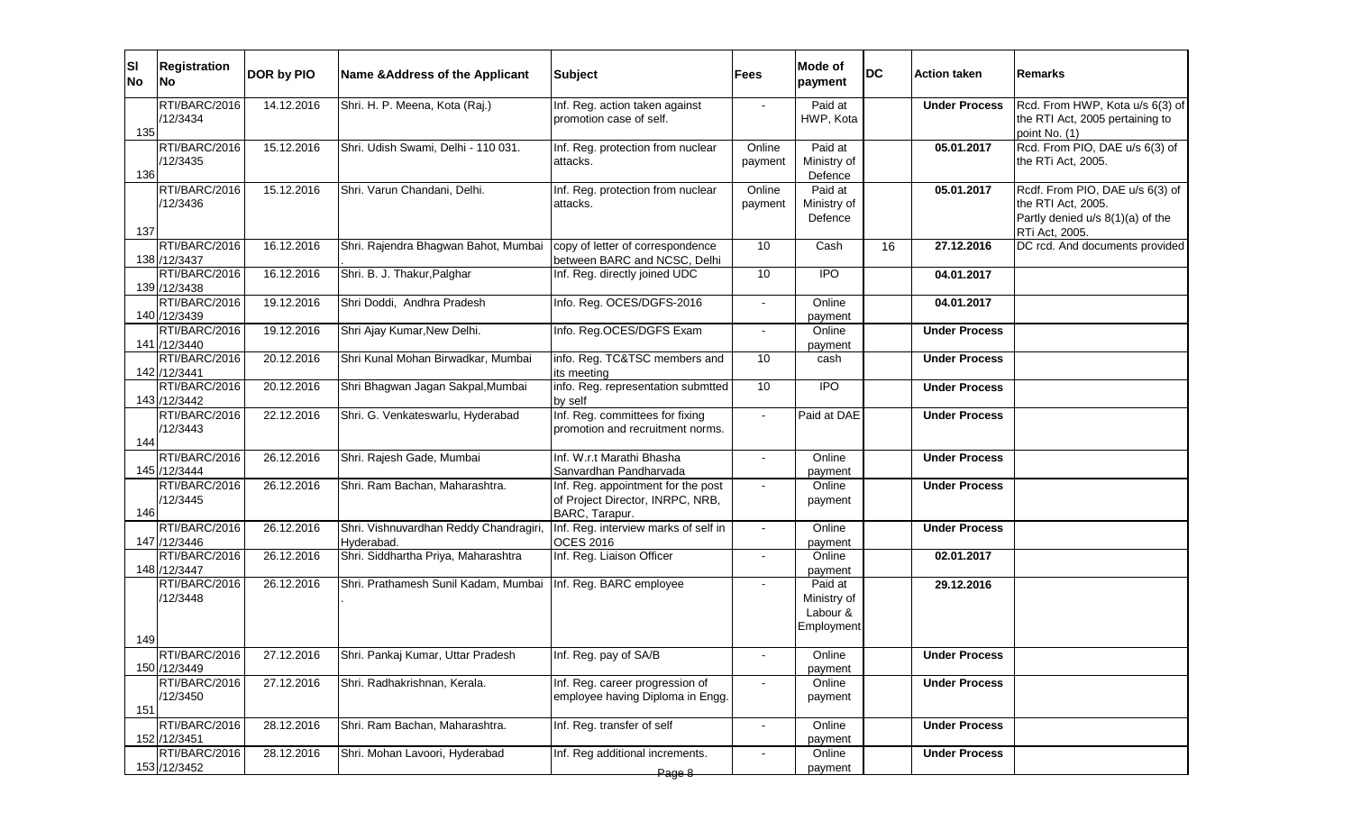| ΙSΙ<br><b>No</b> | <b>Registration</b><br>No                      | DOR by PIO               | Name & Address of the Applicant                                        | <b>Subject</b>                                                                           | Fees              | Mode of<br>payment                               | <b>DC</b> | <b>Action taken</b>                          | <b>Remarks</b>                                                                                              |
|------------------|------------------------------------------------|--------------------------|------------------------------------------------------------------------|------------------------------------------------------------------------------------------|-------------------|--------------------------------------------------|-----------|----------------------------------------------|-------------------------------------------------------------------------------------------------------------|
| 135              | RTI/BARC/2016<br>/12/3434                      | 14.12.2016               | Shri. H. P. Meena, Kota (Raj.)                                         | Inf. Reg. action taken against<br>promotion case of self.                                |                   | Paid at<br>HWP, Kota                             |           | <b>Under Process</b>                         | Rcd. From HWP, Kota u/s 6(3) of<br>the RTI Act, 2005 pertaining to<br>point No. (1)                         |
| 136              | RTI/BARC/2016<br>/12/3435                      | 15.12.2016               | Shri. Udish Swami, Delhi - 110 031.                                    | Inf. Reg. protection from nuclear<br>attacks.                                            | Online<br>payment | Paid at<br>Ministry of<br>Defence                |           | 05.01.2017                                   | Rcd. From PIO, DAE u/s 6(3) of<br>the RTi Act, 2005.                                                        |
| 137              | RTI/BARC/2016<br>/12/3436                      | 15.12.2016               | Shri. Varun Chandani, Delhi.                                           | Inf. Reg. protection from nuclear<br>attacks.                                            | Online<br>payment | Paid at<br>Ministry of<br>Defence                |           | 05.01.2017                                   | Rcdf. From PIO, DAE u/s 6(3) of<br>the RTI Act, 2005.<br>Partly denied u/s 8(1)(a) of the<br>RTi Act, 2005. |
|                  | RTI/BARC/2016<br>138 / 12/3437                 | 16.12.2016               | Shri. Rajendra Bhagwan Bahot, Mumbai                                   | copy of letter of correspondence<br>between BARC and NCSC, Delhi                         | 10                | Cash                                             | 16        | 27.12.2016                                   | DC rcd. And documents provided                                                                              |
|                  | RTI/BARC/2016<br>139 /12/3438                  | 16.12.2016               | Shri. B. J. Thakur, Palghar                                            | Inf. Reg. directly joined UDC                                                            | 10                | $\overline{1}$                                   |           | 04.01.2017                                   |                                                                                                             |
|                  | RTI/BARC/2016<br>140 /12/3439                  | 19.12.2016               | Shri Doddi, Andhra Pradesh                                             | Info. Reg. OCES/DGFS-2016                                                                |                   | Online<br>payment                                |           | 04.01.2017                                   |                                                                                                             |
|                  | RTI/BARC/2016<br>141 /12/3440                  | 19.12.2016               | Shri Ajay Kumar, New Delhi.                                            | Info. Reg.OCES/DGFS Exam                                                                 |                   | Online<br>payment                                |           | <b>Under Process</b>                         |                                                                                                             |
|                  | RTI/BARC/2016<br>142 /12/3441<br>RTI/BARC/2016 | 20.12.2016<br>20.12.2016 | Shri Kunal Mohan Birwadkar, Mumbai                                     | info. Reg. TC&TSC members and<br>its meeting<br>info. Reg. representation submtted       | 10<br>10          | cash<br>$\overline{1}$                           |           | <b>Under Process</b>                         |                                                                                                             |
|                  | 143 /12/3442<br>RTI/BARC/2016                  | 22.12.2016               | Shri Bhagwan Jagan Sakpal, Mumbai<br>Shri. G. Venkateswarlu, Hyderabad | by self<br>Inf. Reg. committees for fixing                                               | $\sim$            | Paid at DAE                                      |           | <b>Under Process</b><br><b>Under Process</b> |                                                                                                             |
| 144              | /12/3443                                       |                          |                                                                        | promotion and recruitment norms.                                                         |                   |                                                  |           |                                              |                                                                                                             |
|                  | RTI/BARC/2016<br>145 /12/3444                  | 26.12.2016               | Shri. Rajesh Gade, Mumbai                                              | Inf. W.r.t Marathi Bhasha<br>Sanvardhan Pandharvada                                      | $\sim$            | Online<br>payment                                |           | <b>Under Process</b>                         |                                                                                                             |
| 146              | RTI/BARC/2016<br>/12/3445                      | 26.12.2016               | Shri. Ram Bachan, Maharashtra.                                         | Inf. Reg. appointment for the post<br>of Project Director, INRPC, NRB,<br>BARC, Tarapur. |                   | Online<br>payment                                |           | <b>Under Process</b>                         |                                                                                                             |
|                  | RTI/BARC/2016<br>147 /12/3446                  | 26.12.2016               | Shri. Vishnuvardhan Reddy Chandragiri,<br>Hyderabad.                   | Inf. Reg. interview marks of self in<br><b>OCES 2016</b>                                 |                   | Online<br>payment                                |           | <b>Under Process</b>                         |                                                                                                             |
|                  | RTI/BARC/2016<br>148 / 12/3447                 | 26.12.2016               | Shri. Siddhartha Priya, Maharashtra                                    | Inf. Reg. Liaison Officer                                                                |                   | Online<br>payment                                |           | 02.01.2017                                   |                                                                                                             |
| 149              | RTI/BARC/2016<br>/12/3448                      | 26.12.2016               | Shri. Prathamesh Sunil Kadam, Mumbai                                   | Inf. Reg. BARC employee                                                                  |                   | Paid at<br>Ministry of<br>Labour &<br>Employment |           | 29.12.2016                                   |                                                                                                             |
|                  | RTI/BARC/2016<br>150 /12/3449                  | 27.12.2016               | [Shri. Pankaj Kumar, Uttar Pradesh                                     | Inf. Reg. pay of SA/B                                                                    |                   | Online<br>payment                                |           | <b>Under Process</b>                         |                                                                                                             |
| 151              | RTI/BARC/2016<br>/12/3450                      | 27.12.2016               | Shri. Radhakrishnan, Kerala.                                           | Inf. Reg. career progression of<br>employee having Diploma in Engg.                      |                   | Online<br>payment                                |           | <b>Under Process</b>                         |                                                                                                             |
|                  | RTI/BARC/2016<br>152 /12/3451                  | 28.12.2016               | Shri. Ram Bachan, Maharashtra.                                         | Inf. Reg. transfer of self                                                               | $\sim$            | Online<br>payment                                |           | <b>Under Process</b>                         |                                                                                                             |
|                  | RTI/BARC/2016<br>153 /12/3452                  | 28.12.2016               | Shri. Mohan Lavoori, Hyderabad                                         | Inf. Reg additional increments.<br>Page 8                                                |                   | Online<br>payment                                |           | <b>Under Process</b>                         |                                                                                                             |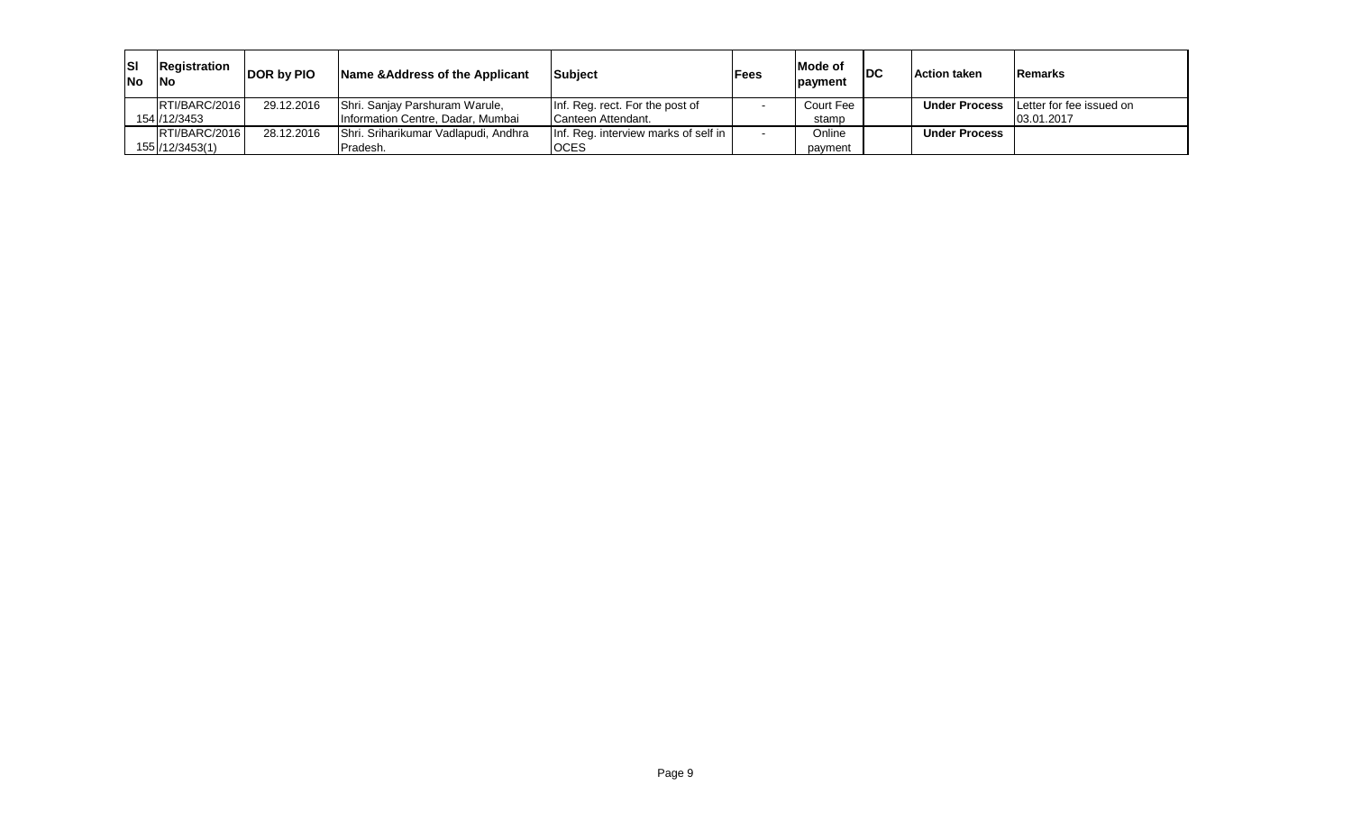| <b>SI</b><br><b>INo</b> | Registration<br><b>INo</b> | DOR by PIO | Name & Address of the Applicant      | Subject                              | <b>IFees</b> | Mode of<br>payment | <b>DC</b> | <b>Action taken</b>  | Remarks                  |
|-------------------------|----------------------------|------------|--------------------------------------|--------------------------------------|--------------|--------------------|-----------|----------------------|--------------------------|
|                         | RTI/BARC/2016              | 29.12.2016 | Shri. Sanjay Parshuram Warule,       | Inf. Reg. rect. For the post of      |              | Court Fee          |           | <b>Under Process</b> | Letter for fee issued on |
|                         | 154 / 12/3453              |            | Information Centre, Dadar, Mumbai    | Canteen Attendant.                   |              | stamp              |           |                      | 03.01.2017               |
|                         | RTI/BARC/2016              | 28.12.2016 | Shri. Sriharikumar Vadlapudi, Andhra | Inf. Reg. interview marks of self in |              | <b>Online</b>      |           | <b>Under Process</b> |                          |
|                         | 155 / 12/3453(1)           |            | Pradesh.                             | <b>OCES</b>                          |              | pavment            |           |                      |                          |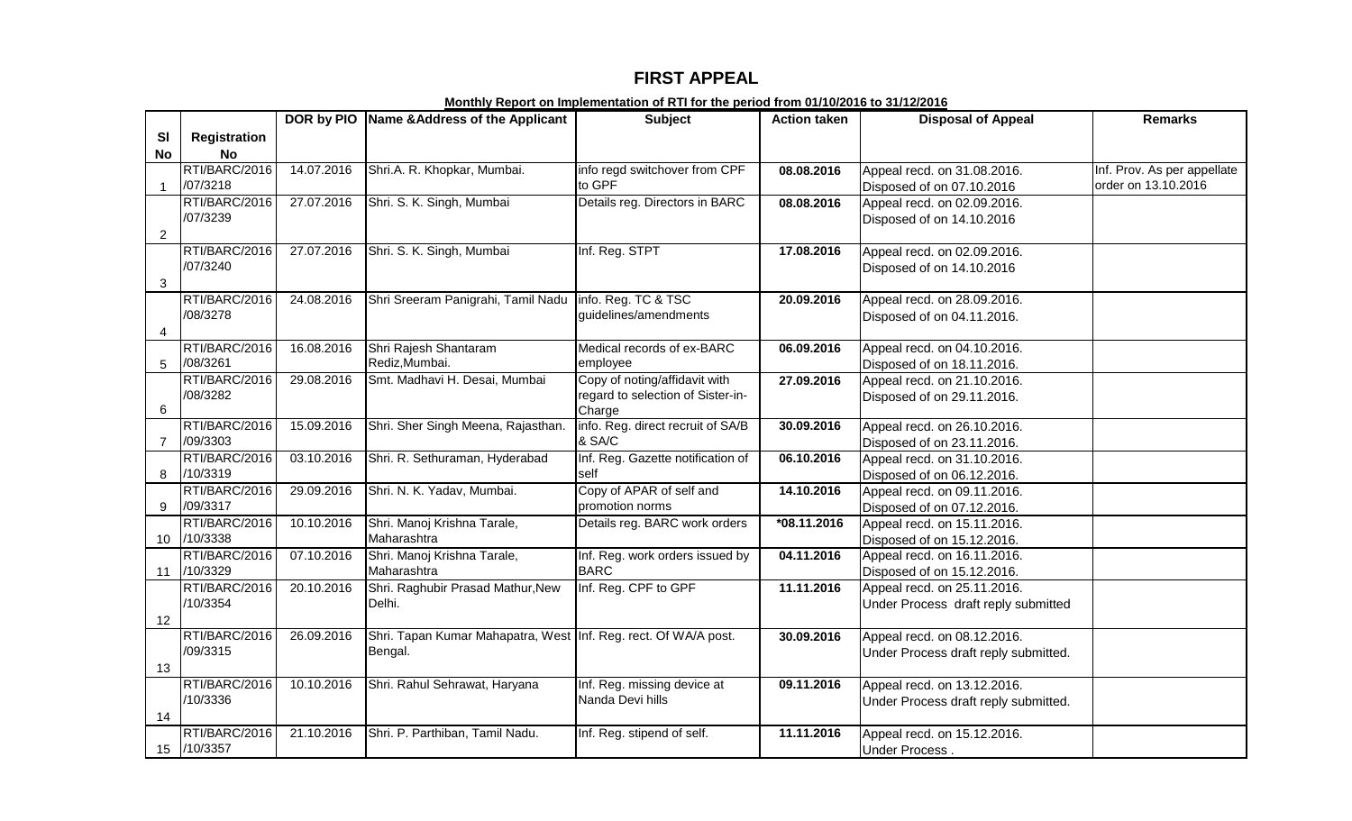# **FIRST APPEAL**

|                           |                           |            | DOR by PIO Name & Address of the Applicant                      | <b>Subject</b>                                  | <b>Action taken</b> | <b>Disposal of Appeal</b>            | <b>Remarks</b>              |
|---------------------------|---------------------------|------------|-----------------------------------------------------------------|-------------------------------------------------|---------------------|--------------------------------------|-----------------------------|
| SI                        | <b>Registration</b>       |            |                                                                 |                                                 |                     |                                      |                             |
| <b>No</b>                 | <b>No</b>                 |            |                                                                 |                                                 |                     |                                      |                             |
|                           | RTI/BARC/2016             | 14.07.2016 | Shri.A. R. Khopkar, Mumbai.                                     | info regd switchover from CPF                   | 08.08.2016          | Appeal recd. on 31.08.2016.          | Inf. Prov. As per appellate |
| $\mathbf{1}$              | /07/3218                  |            |                                                                 | to GPF                                          |                     | Disposed of on 07.10.2016            | order on 13.10.2016         |
|                           | RTI/BARC/2016             | 27.07.2016 | Shri. S. K. Singh, Mumbai                                       | Details reg. Directors in BARC                  | 08.08.2016          | Appeal recd. on 02.09.2016.          |                             |
|                           | /07/3239                  |            |                                                                 |                                                 |                     | Disposed of on 14.10.2016            |                             |
| $\overline{2}$            |                           |            |                                                                 |                                                 |                     |                                      |                             |
|                           | RTI/BARC/2016             | 27.07.2016 | Shri. S. K. Singh, Mumbai                                       | Inf. Reg. STPT                                  | 17.08.2016          | Appeal recd. on 02.09.2016.          |                             |
|                           | /07/3240                  |            |                                                                 |                                                 |                     | Disposed of on 14.10.2016            |                             |
| $\ensuremath{\mathsf{3}}$ |                           |            |                                                                 |                                                 |                     |                                      |                             |
|                           | RTI/BARC/2016             | 24.08.2016 | Shri Sreeram Panigrahi, Tamil Nadu                              | info. Reg. TC & TSC                             | 20.09.2016          | Appeal recd. on 28.09.2016.          |                             |
|                           | /08/3278                  |            |                                                                 | guidelines/amendments                           |                     | Disposed of on 04.11.2016.           |                             |
| $\overline{4}$            |                           |            |                                                                 |                                                 |                     |                                      |                             |
|                           | RTI/BARC/2016             | 16.08.2016 | Shri Rajesh Shantaram                                           | Medical records of ex-BARC                      | 06.09.2016          | Appeal recd. on 04.10.2016.          |                             |
| 5                         | /08/3261                  |            | Rediz, Mumbai.                                                  | employee                                        |                     | Disposed of on 18.11.2016.           |                             |
|                           | RTI/BARC/2016             | 29.08.2016 | Smt. Madhavi H. Desai, Mumbai                                   | Copy of noting/affidavit with                   | 27.09.2016          | Appeal recd. on 21.10.2016.          |                             |
|                           | /08/3282                  |            |                                                                 | regard to selection of Sister-in-               |                     | Disposed of on 29.11.2016.           |                             |
| 6                         |                           |            |                                                                 | Charge                                          |                     |                                      |                             |
|                           | RTI/BARC/2016             | 15.09.2016 | Shri. Sher Singh Meena, Rajasthan.                              | info. Reg. direct recruit of SA/B               | 30.09.2016          | Appeal recd. on 26.10.2016.          |                             |
| $\overline{7}$            | /09/3303                  |            |                                                                 | & SA/C                                          |                     | Disposed of on 23.11.2016.           |                             |
|                           | RTI/BARC/2016             | 03.10.2016 | Shri. R. Sethuraman, Hyderabad                                  | Inf. Reg. Gazette notification of               | 06.10.2016          | Appeal recd. on 31.10.2016.          |                             |
| 8                         | /10/3319                  |            |                                                                 | self                                            |                     | Disposed of on 06.12.2016.           |                             |
|                           | RTI/BARC/2016             | 29.09.2016 | Shri. N. K. Yadav, Mumbai.                                      | Copy of APAR of self and                        | 14.10.2016          | Appeal recd. on 09.11.2016.          |                             |
| 9                         | /09/3317                  |            |                                                                 | promotion norms                                 |                     | Disposed of on 07.12.2016.           |                             |
|                           | RTI/BARC/2016             | 10.10.2016 | Shri. Manoj Krishna Tarale,                                     | Details reg. BARC work orders                   | $*08.11.2016$       | Appeal recd. on 15.11.2016.          |                             |
| 10                        | /10/3338                  |            | Maharashtra                                                     |                                                 |                     | Disposed of on 15.12.2016.           |                             |
|                           | RTI/BARC/2016             | 07.10.2016 | Shri. Manoj Krishna Tarale,                                     | Inf. Reg. work orders issued by                 | 04.11.2016          | Appeal recd. on 16.11.2016.          |                             |
| 11                        | /10/3329                  |            | Maharashtra                                                     | <b>BARC</b>                                     |                     | Disposed of on 15.12.2016.           |                             |
|                           | RTI/BARC/2016             | 20.10.2016 | Shri. Raghubir Prasad Mathur, New                               | Inf. Reg. CPF to GPF                            | 11.11.2016          | Appeal recd. on 25.11.2016.          |                             |
|                           | /10/3354                  |            | Delhi.                                                          |                                                 |                     | Under Process draft reply submitted  |                             |
| 12                        |                           |            |                                                                 |                                                 |                     |                                      |                             |
|                           | RTI/BARC/2016<br>/09/3315 | 26.09.2016 | Shri. Tapan Kumar Mahapatra, West Inf. Reg. rect. Of WA/A post. |                                                 | 30.09.2016          | Appeal recd. on 08.12.2016.          |                             |
|                           |                           |            | Bengal.                                                         |                                                 |                     | Under Process draft reply submitted. |                             |
| 13                        |                           |            |                                                                 |                                                 |                     |                                      |                             |
|                           | RTI/BARC/2016<br>/10/3336 | 10.10.2016 | Shri. Rahul Sehrawat, Haryana                                   | Inf. Reg. missing device at<br>Nanda Devi hills | 09.11.2016          | Appeal recd. on 13.12.2016.          |                             |
|                           |                           |            |                                                                 |                                                 |                     | Under Process draft reply submitted. |                             |
| 14                        | RTI/BARC/2016             | 21.10.2016 |                                                                 |                                                 |                     |                                      |                             |
|                           | 15 /10/3357               |            | Shri. P. Parthiban, Tamil Nadu.                                 | Inf. Reg. stipend of self.                      | 11.11.2016          | Appeal recd. on 15.12.2016.          |                             |
|                           |                           |            |                                                                 |                                                 |                     | Under Process.                       |                             |

**Monthly Report on Implementation of RTI for the period from 01/10/2016 to 31/12/2016**